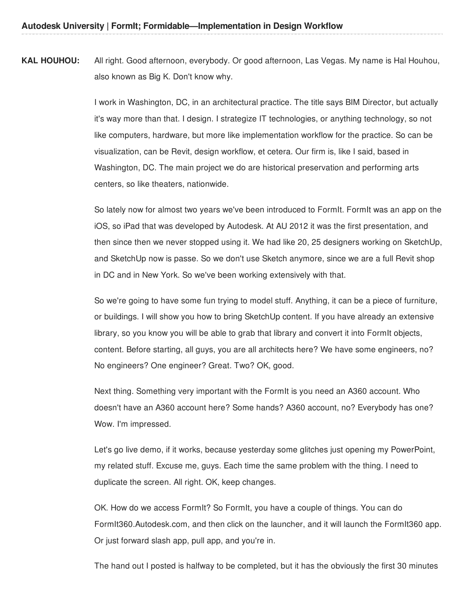**KAL HOUHOU:** All right. Good afternoon, everybody. Or good afternoon, Las Vegas. My name is Hal Houhou, also known as Big K. Don't know why.

> I work in Washington, DC, in an architectural practice. The title says BIM Director, but actually it's way more than that. I design. I strategize IT technologies, or anything technology, so not like computers, hardware, but more like implementation workflow for the practice. So can be visualization, can be Revit, design workflow, et cetera. Our firm is, like I said, based in Washington, DC. The main project we do are historical preservation and performing arts centers, so like theaters, nationwide.

> So lately now for almost two years we've been introduced to FormIt. FormIt was an app on the iOS, so iPad that was developed by Autodesk. At AU 2012 it was the first presentation, and then since then we never stopped using it. We had like 20, 25 designers working on SketchUp, and SketchUp now is passe. So we don't use Sketch anymore, since we are a full Revit shop in DC and in New York. So we've been working extensively with that.

So we're going to have some fun trying to model stuff. Anything, it can be a piece of furniture, or buildings. I will show you how to bring SketchUp content. If you have already an extensive library, so you know you will be able to grab that library and convert it into FormIt objects, content. Before starting, all guys, you are all architects here? We have some engineers, no? No engineers? One engineer? Great. Two? OK, good.

Next thing. Something very important with the FormIt is you need an A360 account. Who doesn't have an A360 account here? Some hands? A360 account, no? Everybody has one? Wow. I'm impressed.

Let's go live demo, if it works, because yesterday some glitches just opening my PowerPoint, my related stuff. Excuse me, guys. Each time the same problem with the thing. I need to duplicate the screen. All right. OK, keep changes.

OK. How do we access FormIt? So FormIt, you have a couple of things. You can do FormIt360.Autodesk.com, and then click on the launcher, and it will launch the FormIt360 app. Or just forward slash app, pull app, and you're in.

The hand out I posted is halfway to be completed, but it has the obviously the first 30 minutes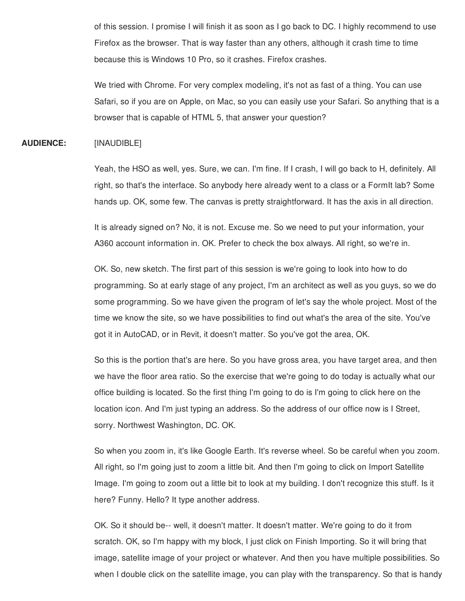of this session. I promise I will finish it as soon as I go back to DC. I highly recommend to use Firefox as the browser. That is way faster than any others, although it crash time to time because this is Windows 10 Pro, so it crashes. Firefox crashes.

We tried with Chrome. For very complex modeling, it's not as fast of a thing. You can use Safari, so if you are on Apple, on Mac, so you can easily use your Safari. So anything that is a browser that is capable of HTML 5, that answer your question?

## **AUDIENCE:** [INAUDIBLE]

Yeah, the HSO as well, yes. Sure, we can. I'm fine. If I crash, I will go back to H, definitely. All right, so that's the interface. So anybody here already went to a class or a FormIt lab? Some hands up. OK, some few. The canvas is pretty straightforward. It has the axis in all direction.

It is already signed on? No, it is not. Excuse me. So we need to put your information, your A360 account information in. OK. Prefer to check the box always. All right, so we're in.

OK. So, new sketch. The first part of this session is we're going to look into how to do programming. So at early stage of any project, I'm an architect as well as you guys, so we do some programming. So we have given the program of let's say the whole project. Most of the time we know the site, so we have possibilities to find out what's the area of the site. You've got it in AutoCAD, or in Revit, it doesn't matter. So you've got the area, OK.

So this is the portion that's are here. So you have gross area, you have target area, and then we have the floor area ratio. So the exercise that we're going to do today is actually what our office building is located. So the first thing I'm going to do is I'm going to click here on the location icon. And I'm just typing an address. So the address of our office now is I Street, sorry. Northwest Washington, DC. OK.

So when you zoom in, it's like Google Earth. It's reverse wheel. So be careful when you zoom. All right, so I'm going just to zoom a little bit. And then I'm going to click on Import Satellite Image. I'm going to zoom out a little bit to look at my building. I don't recognize this stuff. Is it here? Funny. Hello? It type another address.

OK. So it should be-- well, it doesn't matter. It doesn't matter. We're going to do it from scratch. OK, so I'm happy with my block, I just click on Finish Importing. So it will bring that image, satellite image of your project or whatever. And then you have multiple possibilities. So when I double click on the satellite image, you can play with the transparency. So that is handy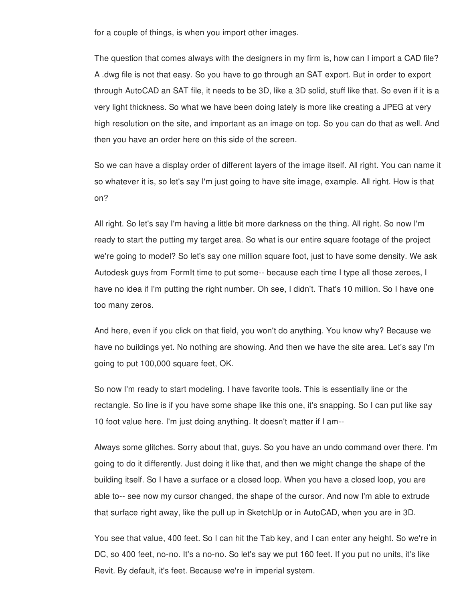for a couple of things, is when you import other images.

The question that comes always with the designers in my firm is, how can I import a CAD file? A .dwg file is not that easy. So you have to go through an SAT export. But in order to export through AutoCAD an SAT file, it needs to be 3D, like a 3D solid, stuff like that. So even if it is a very light thickness. So what we have been doing lately is more like creating a JPEG at very high resolution on the site, and important as an image on top. So you can do that as well. And then you have an order here on this side of the screen.

So we can have a display order of different layers of the image itself. All right. You can name it so whatever it is, so let's say I'm just going to have site image, example. All right. How is that on?

All right. So let's say I'm having a little bit more darkness on the thing. All right. So now I'm ready to start the putting my target area. So what is our entire square footage of the project we're going to model? So let's say one million square foot, just to have some density. We ask Autodesk guys from FormIt time to put some-- because each time I type all those zeroes, I have no idea if I'm putting the right number. Oh see, I didn't. That's 10 million. So I have one too many zeros.

And here, even if you click on that field, you won't do anything. You know why? Because we have no buildings yet. No nothing are showing. And then we have the site area. Let's say I'm going to put 100,000 square feet, OK.

So now I'm ready to start modeling. I have favorite tools. This is essentially line or the rectangle. So line is if you have some shape like this one, it's snapping. So I can put like say 10 foot value here. I'm just doing anything. It doesn't matter if I am--

Always some glitches. Sorry about that, guys. So you have an undo command over there. I'm going to do it differently. Just doing it like that, and then we might change the shape of the building itself. So I have a surface or a closed loop. When you have a closed loop, you are able to-- see now my cursor changed, the shape of the cursor. And now I'm able to extrude that surface right away, like the pull up in SketchUp or in AutoCAD, when you are in 3D.

You see that value, 400 feet. So I can hit the Tab key, and I can enter any height. So we're in DC, so 400 feet, no-no. It's a no-no. So let's say we put 160 feet. If you put no units, it's like Revit. By default, it's feet. Because we're in imperial system.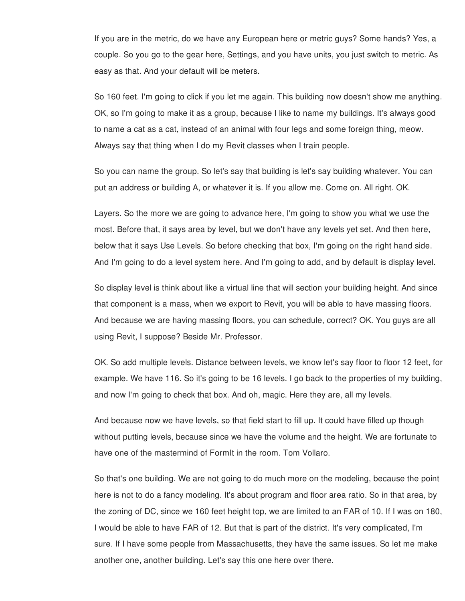If you are in the metric, do we have any European here or metric guys? Some hands? Yes, a couple. So you go to the gear here, Settings, and you have units, you just switch to metric. As easy as that. And your default will be meters.

So 160 feet. I'm going to click if you let me again. This building now doesn't show me anything. OK, so I'm going to make it as a group, because I like to name my buildings. It's always good to name a cat as a cat, instead of an animal with four legs and some foreign thing, meow. Always say that thing when I do my Revit classes when I train people.

So you can name the group. So let's say that building is let's say building whatever. You can put an address or building A, or whatever it is. If you allow me. Come on. All right. OK.

Layers. So the more we are going to advance here, I'm going to show you what we use the most. Before that, it says area by level, but we don't have any levels yet set. And then here, below that it says Use Levels. So before checking that box, I'm going on the right hand side. And I'm going to do a level system here. And I'm going to add, and by default is display level.

So display level is think about like a virtual line that will section your building height. And since that component is a mass, when we export to Revit, you will be able to have massing floors. And because we are having massing floors, you can schedule, correct? OK. You guys are all using Revit, I suppose? Beside Mr. Professor.

OK. So add multiple levels. Distance between levels, we know let's say floor to floor 12 feet, for example. We have 116. So it's going to be 16 levels. I go back to the properties of my building, and now I'm going to check that box. And oh, magic. Here they are, all my levels.

And because now we have levels, so that field start to fill up. It could have filled up though without putting levels, because since we have the volume and the height. We are fortunate to have one of the mastermind of FormIt in the room. Tom Vollaro.

So that's one building. We are not going to do much more on the modeling, because the point here is not to do a fancy modeling. It's about program and floor area ratio. So in that area, by the zoning of DC, since we 160 feet height top, we are limited to an FAR of 10. If I was on 180, I would be able to have FAR of 12. But that is part of the district. It's very complicated, I'm sure. If I have some people from Massachusetts, they have the same issues. So let me make another one, another building. Let's say this one here over there.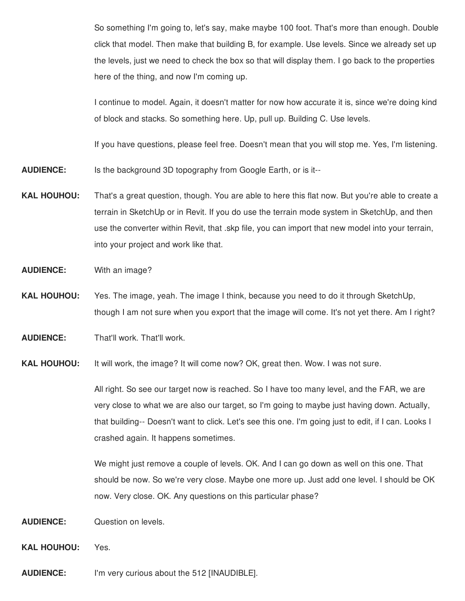So something I'm going to, let's say, make maybe 100 foot. That's more than enough. Double click that model. Then make that building B, for example. Use levels. Since we already set up the levels, just we need to check the box so that will display them. I go back to the properties here of the thing, and now I'm coming up.

I continue to model. Again, it doesn't matter for now how accurate it is, since we're doing kind of block and stacks. So something here. Up, pull up. Building C. Use levels.

If you have questions, please feel free. Doesn't mean that you will stop me. Yes, I'm listening.

- **AUDIENCE:** Is the background 3D topography from Google Earth, or is it--
- **KAL HOUHOU:** That's a great question, though. You are able to here this flat now. But you're able to create a terrain in SketchUp or in Revit. If you do use the terrain mode system in SketchUp, and then use the converter within Revit, that .skp file, you can import that new model into your terrain, into your project and work like that.
- **AUDIENCE:** With an image?
- **KAL HOUHOU:** Yes. The image, yeah. The image I think, because you need to do it through SketchUp, though I am not sure when you export that the image will come. It's not yet there. Am I right?
- **AUDIENCE:** That'll work. That'll work.
- **KAL HOUHOU:** It will work, the image? It will come now? OK, great then. Wow. I was not sure.

All right. So see our target now is reached. So I have too many level, and the FAR, we are very close to what we are also our target, so I'm going to maybe just having down. Actually, that building-- Doesn't want to click. Let's see this one. I'm going just to edit, if I can. Looks I crashed again. It happens sometimes.

We might just remove a couple of levels. OK. And I can go down as well on this one. That should be now. So we're very close. Maybe one more up. Just add one level. I should be OK now. Very close. OK. Any questions on this particular phase?

- **AUDIENCE:** Question on levels.
- **KAL HOUHOU:** Yes.
- **AUDIENCE:** I'm very curious about the 512 [INAUDIBLE].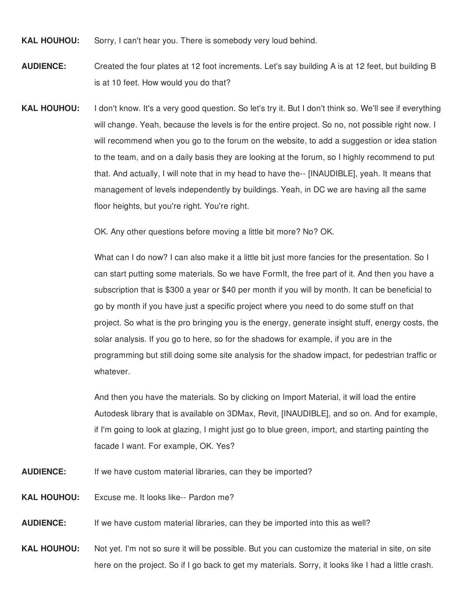**KAL HOUHOU:** Sorry, I can't hear you. There is somebody very loud behind.

**AUDIENCE:** Created the four plates at 12 foot increments. Let's say building A is at 12 feet, but building B is at 10 feet. How would you do that?

**KAL HOUHOU:** I don't know. It's a very good question. So let's try it. But I don't think so. We'll see if everything will change. Yeah, because the levels is for the entire project. So no, not possible right now. I will recommend when you go to the forum on the website, to add a suggestion or idea station to the team, and on a daily basis they are looking at the forum, so I highly recommend to put that. And actually, I will note that in my head to have the-- [INAUDIBLE], yeah. It means that management of levels independently by buildings. Yeah, in DC we are having all the same floor heights, but you're right. You're right.

OK. Any other questions before moving a little bit more? No? OK.

What can I do now? I can also make it a little bit just more fancies for the presentation. So I can start putting some materials. So we have FormIt, the free part of it. And then you have a subscription that is \$300 a year or \$40 per month if you will by month. It can be beneficial to go by month if you have just a specific project where you need to do some stuff on that project. So what is the pro bringing you is the energy, generate insight stuff, energy costs, the solar analysis. If you go to here, so for the shadows for example, if you are in the programming but still doing some site analysis for the shadow impact, for pedestrian traffic or whatever.

And then you have the materials. So by clicking on Import Material, it will load the entire Autodesk library that is available on 3DMax, Revit, [INAUDIBLE], and so on. And for example, if I'm going to look at glazing, I might just go to blue green, import, and starting painting the facade I want. For example, OK. Yes?

- **AUDIENCE:** If we have custom material libraries, can they be imported?
- **KAL HOUHOU:** Excuse me. It looks like-- Pardon me?
- **AUDIENCE:** If we have custom material libraries, can they be imported into this as well?

**KAL HOUHOU:** Not yet. I'm not so sure it will be possible. But you can customize the material in site, on site here on the project. So if I go back to get my materials. Sorry, it looks like I had a little crash.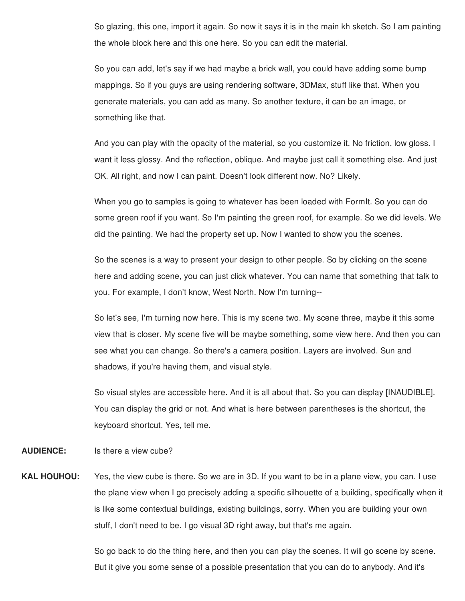So glazing, this one, import it again. So now it says it is in the main kh sketch. So I am painting the whole block here and this one here. So you can edit the material.

So you can add, let's say if we had maybe a brick wall, you could have adding some bump mappings. So if you guys are using rendering software, 3DMax, stuff like that. When you generate materials, you can add as many. So another texture, it can be an image, or something like that.

And you can play with the opacity of the material, so you customize it. No friction, low gloss. I want it less glossy. And the reflection, oblique. And maybe just call it something else. And just OK. All right, and now I can paint. Doesn't look different now. No? Likely.

When you go to samples is going to whatever has been loaded with FormIt. So you can do some green roof if you want. So I'm painting the green roof, for example. So we did levels. We did the painting. We had the property set up. Now I wanted to show you the scenes.

So the scenes is a way to present your design to other people. So by clicking on the scene here and adding scene, you can just click whatever. You can name that something that talk to you. For example, I don't know, West North. Now I'm turning--

So let's see, I'm turning now here. This is my scene two. My scene three, maybe it this some view that is closer. My scene five will be maybe something, some view here. And then you can see what you can change. So there's a camera position. Layers are involved. Sun and shadows, if you're having them, and visual style.

So visual styles are accessible here. And it is all about that. So you can display [INAUDIBLE]. You can display the grid or not. And what is here between parentheses is the shortcut, the keyboard shortcut. Yes, tell me.

## **AUDIENCE:** Is there a view cube?

**KAL HOUHOU:** Yes, the view cube is there. So we are in 3D. If you want to be in a plane view, you can. I use the plane view when I go precisely adding a specific silhouette of a building, specifically when it is like some contextual buildings, existing buildings, sorry. When you are building your own stuff, I don't need to be. I go visual 3D right away, but that's me again.

> So go back to do the thing here, and then you can play the scenes. It will go scene by scene. But it give you some sense of a possible presentation that you can do to anybody. And it's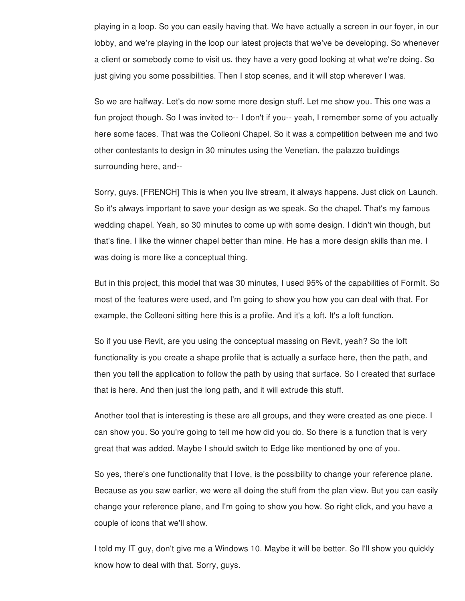playing in a loop. So you can easily having that. We have actually a screen in our foyer, in our lobby, and we're playing in the loop our latest projects that we've be developing. So whenever a client or somebody come to visit us, they have a very good looking at what we're doing. So just giving you some possibilities. Then I stop scenes, and it will stop wherever I was.

So we are halfway. Let's do now some more design stuff. Let me show you. This one was a fun project though. So I was invited to-- I don't if you-- yeah, I remember some of you actually here some faces. That was the Colleoni Chapel. So it was a competition between me and two other contestants to design in 30 minutes using the Venetian, the palazzo buildings surrounding here, and--

Sorry, guys. [FRENCH] This is when you live stream, it always happens. Just click on Launch. So it's always important to save your design as we speak. So the chapel. That's my famous wedding chapel. Yeah, so 30 minutes to come up with some design. I didn't win though, but that's fine. I like the winner chapel better than mine. He has a more design skills than me. I was doing is more like a conceptual thing.

But in this project, this model that was 30 minutes, I used 95% of the capabilities of FormIt. So most of the features were used, and I'm going to show you how you can deal with that. For example, the Colleoni sitting here this is a profile. And it's a loft. It's a loft function.

So if you use Revit, are you using the conceptual massing on Revit, yeah? So the loft functionality is you create a shape profile that is actually a surface here, then the path, and then you tell the application to follow the path by using that surface. So I created that surface that is here. And then just the long path, and it will extrude this stuff.

Another tool that is interesting is these are all groups, and they were created as one piece. I can show you. So you're going to tell me how did you do. So there is a function that is very great that was added. Maybe I should switch to Edge like mentioned by one of you.

So yes, there's one functionality that I love, is the possibility to change your reference plane. Because as you saw earlier, we were all doing the stuff from the plan view. But you can easily change your reference plane, and I'm going to show you how. So right click, and you have a couple of icons that we'll show.

I told my IT guy, don't give me a Windows 10. Maybe it will be better. So I'll show you quickly know how to deal with that. Sorry, guys.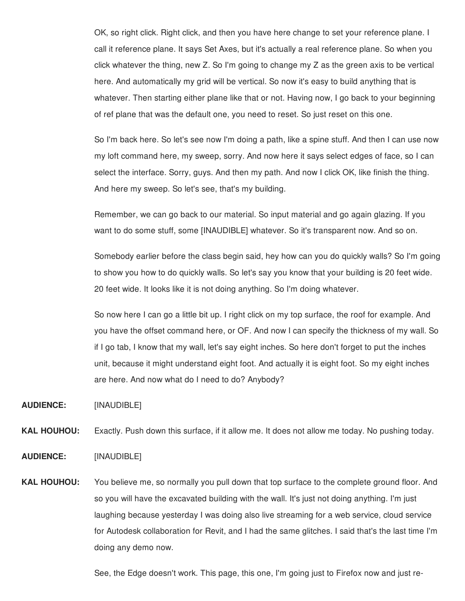OK, so right click. Right click, and then you have here change to set your reference plane. I call it reference plane. It says Set Axes, but it's actually a real reference plane. So when you click whatever the thing, new Z. So I'm going to change my Z as the green axis to be vertical here. And automatically my grid will be vertical. So now it's easy to build anything that is whatever. Then starting either plane like that or not. Having now, I go back to your beginning of ref plane that was the default one, you need to reset. So just reset on this one.

So I'm back here. So let's see now I'm doing a path, like a spine stuff. And then I can use now my loft command here, my sweep, sorry. And now here it says select edges of face, so I can select the interface. Sorry, guys. And then my path. And now I click OK, like finish the thing. And here my sweep. So let's see, that's my building.

Remember, we can go back to our material. So input material and go again glazing. If you want to do some stuff, some [INAUDIBLE] whatever. So it's transparent now. And so on.

Somebody earlier before the class begin said, hey how can you do quickly walls? So I'm going to show you how to do quickly walls. So let's say you know that your building is 20 feet wide. 20 feet wide. It looks like it is not doing anything. So I'm doing whatever.

So now here I can go a little bit up. I right click on my top surface, the roof for example. And you have the offset command here, or OF. And now I can specify the thickness of my wall. So if I go tab, I know that my wall, let's say eight inches. So here don't forget to put the inches unit, because it might understand eight foot. And actually it is eight foot. So my eight inches are here. And now what do I need to do? Anybody?

**AUDIENCE:** [INAUDIBLE]

**KAL HOUHOU:** Exactly. Push down this surface, if it allow me. It does not allow me today. No pushing today.

**AUDIENCE:** [INAUDIBLE]

**KAL HOUHOU:** You believe me, so normally you pull down that top surface to the complete ground floor. And so you will have the excavated building with the wall. It's just not doing anything. I'm just laughing because yesterday I was doing also live streaming for a web service, cloud service for Autodesk collaboration for Revit, and I had the same glitches. I said that's the last time I'm doing any demo now.

See, the Edge doesn't work. This page, this one, I'm going just to Firefox now and just re-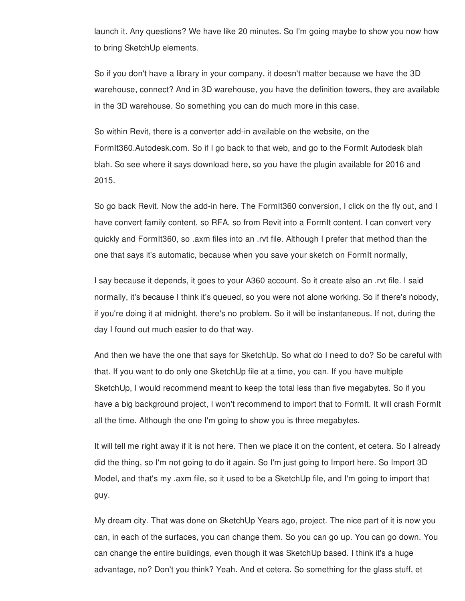launch it. Any questions? We have like 20 minutes. So I'm going maybe to show you now how to bring SketchUp elements.

So if you don't have a library in your company, it doesn't matter because we have the 3D warehouse, connect? And in 3D warehouse, you have the definition towers, they are available in the 3D warehouse. So something you can do much more in this case.

So within Revit, there is a converter add-in available on the website, on the FormIt360.Autodesk.com. So if I go back to that web, and go to the FormIt Autodesk blah blah. So see where it says download here, so you have the plugin available for 2016 and 2015.

So go back Revit. Now the add-in here. The FormIt360 conversion, I click on the fly out, and I have convert family content, so RFA, so from Revit into a FormIt content. I can convert very quickly and FormIt360, so .axm files into an .rvt file. Although I prefer that method than the one that says it's automatic, because when you save your sketch on FormIt normally,

I say because it depends, it goes to your A360 account. So it create also an .rvt file. I said normally, it's because I think it's queued, so you were not alone working. So if there's nobody, if you're doing it at midnight, there's no problem. So it will be instantaneous. If not, during the day I found out much easier to do that way.

And then we have the one that says for SketchUp. So what do I need to do? So be careful with that. If you want to do only one SketchUp file at a time, you can. If you have multiple SketchUp, I would recommend meant to keep the total less than five megabytes. So if you have a big background project, I won't recommend to import that to FormIt. It will crash FormIt all the time. Although the one I'm going to show you is three megabytes.

It will tell me right away if it is not here. Then we place it on the content, et cetera. So I already did the thing, so I'm not going to do it again. So I'm just going to Import here. So Import 3D Model, and that's my .axm file, so it used to be a SketchUp file, and I'm going to import that guy.

My dream city. That was done on SketchUp Years ago, project. The nice part of it is now you can, in each of the surfaces, you can change them. So you can go up. You can go down. You can change the entire buildings, even though it was SketchUp based. I think it's a huge advantage, no? Don't you think? Yeah. And et cetera. So something for the glass stuff, et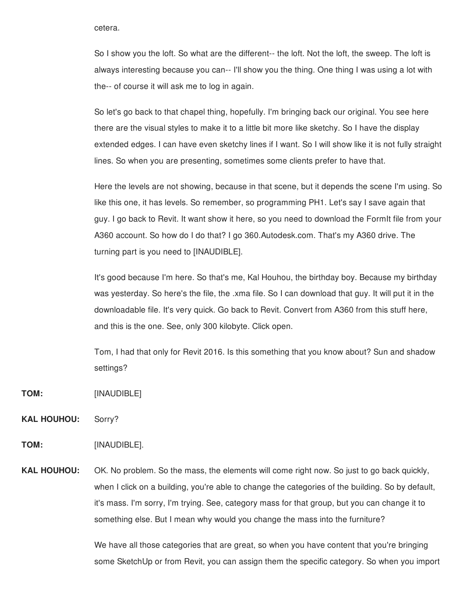cetera.

So I show you the loft. So what are the different-- the loft. Not the loft, the sweep. The loft is always interesting because you can-- I'll show you the thing. One thing I was using a lot with the-- of course it will ask me to log in again.

So let's go back to that chapel thing, hopefully. I'm bringing back our original. You see here there are the visual styles to make it to a little bit more like sketchy. So I have the display extended edges. I can have even sketchy lines if I want. So I will show like it is not fully straight lines. So when you are presenting, sometimes some clients prefer to have that.

Here the levels are not showing, because in that scene, but it depends the scene I'm using. So like this one, it has levels. So remember, so programming PH1. Let's say I save again that guy. I go back to Revit. It want show it here, so you need to download the FormIt file from your A360 account. So how do I do that? I go 360.Autodesk.com. That's my A360 drive. The turning part is you need to [INAUDIBLE].

It's good because I'm here. So that's me, Kal Houhou, the birthday boy. Because my birthday was yesterday. So here's the file, the .xma file. So I can download that guy. It will put it in the downloadable file. It's very quick. Go back to Revit. Convert from A360 from this stuff here, and this is the one. See, only 300 kilobyte. Click open.

Tom, I had that only for Revit 2016. Is this something that you know about? Sun and shadow settings?

- **TOM:** [INAUDIBLE]
- **KAL HOUHOU:** Sorry?

**TOM:** [INAUDIBLE].

**KAL HOUHOU:** OK. No problem. So the mass, the elements will come right now. So just to go back quickly, when I click on a building, you're able to change the categories of the building. So by default, it's mass. I'm sorry, I'm trying. See, category mass for that group, but you can change it to something else. But I mean why would you change the mass into the furniture?

> We have all those categories that are great, so when you have content that you're bringing some SketchUp or from Revit, you can assign them the specific category. So when you import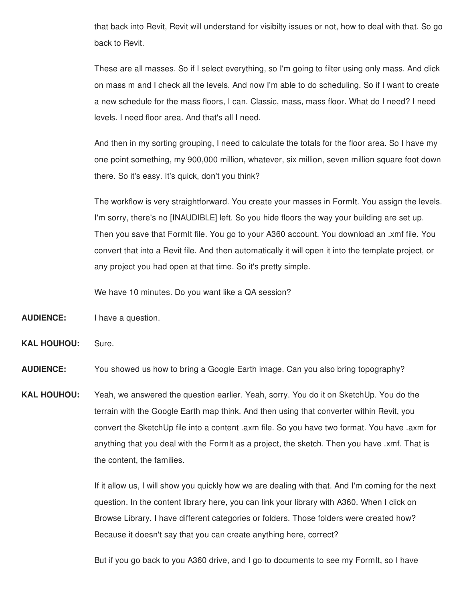that back into Revit, Revit will understand for visibilty issues or not, how to deal with that. So go back to Revit.

These are all masses. So if I select everything, so I'm going to filter using only mass. And click on mass m and I check all the levels. And now I'm able to do scheduling. So if I want to create a new schedule for the mass floors, I can. Classic, mass, mass floor. What do I need? I need levels. I need floor area. And that's all I need.

And then in my sorting grouping, I need to calculate the totals for the floor area. So I have my one point something, my 900,000 million, whatever, six million, seven million square foot down there. So it's easy. It's quick, don't you think?

The workflow is very straightforward. You create your masses in FormIt. You assign the levels. I'm sorry, there's no [INAUDIBLE] left. So you hide floors the way your building are set up. Then you save that FormIt file. You go to your A360 account. You download an .xmf file. You convert that into a Revit file. And then automatically it will open it into the template project, or any project you had open at that time. So it's pretty simple.

We have 10 minutes. Do you want like a QA session?

- **AUDIENCE:** I have a question.
- **KAL HOUHOU:** Sure.

**AUDIENCE:** You showed us how to bring a Google Earth image. Can you also bring topography?

**KAL HOUHOU:** Yeah, we answered the question earlier. Yeah, sorry. You do it on SketchUp. You do the terrain with the Google Earth map think. And then using that converter within Revit, you convert the SketchUp file into a content .axm file. So you have two format. You have .axm for anything that you deal with the FormIt as a project, the sketch. Then you have .xmf. That is the content, the families.

> If it allow us, I will show you quickly how we are dealing with that. And I'm coming for the next question. In the content library here, you can link your library with A360. When I click on Browse Library, I have different categories or folders. Those folders were created how? Because it doesn't say that you can create anything here, correct?

But if you go back to you A360 drive, and I go to documents to see my FormIt, so I have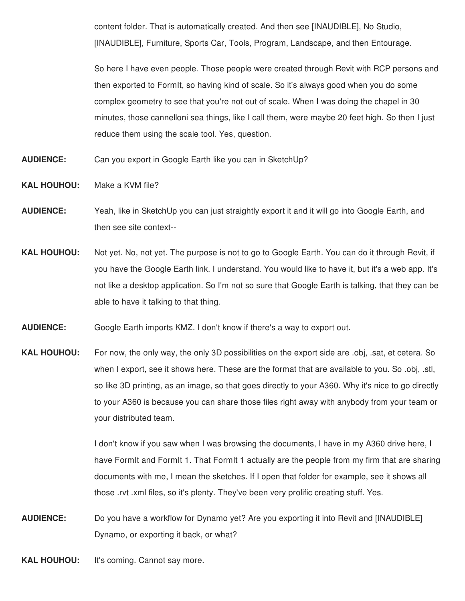content folder. That is automatically created. And then see [INAUDIBLE], No Studio, [INAUDIBLE], Furniture, Sports Car, Tools, Program, Landscape, and then Entourage.

So here I have even people. Those people were created through Revit with RCP persons and then exported to FormIt, so having kind of scale. So it's always good when you do some complex geometry to see that you're not out of scale. When I was doing the chapel in 30 minutes, those cannelloni sea things, like I call them, were maybe 20 feet high. So then I just reduce them using the scale tool. Yes, question.

- **AUDIENCE:** Can you export in Google Earth like you can in SketchUp?
- **KAL HOUHOU:** Make a KVM file?
- **AUDIENCE:** Yeah, like in SketchUp you can just straightly export it and it will go into Google Earth, and then see site context--
- **KAL HOUHOU:** Not yet. No, not yet. The purpose is not to go to Google Earth. You can do it through Revit, if you have the Google Earth link. I understand. You would like to have it, but it's a web app. It's not like a desktop application. So I'm not so sure that Google Earth is talking, that they can be able to have it talking to that thing.
- **AUDIENCE:** Google Earth imports KMZ. I don't know if there's a way to export out.
- **KAL HOUHOU:** For now, the only way, the only 3D possibilities on the export side are .obj, .sat, et cetera. So when I export, see it shows here. These are the format that are available to you. So .obj, .stl, so like 3D printing, as an image, so that goes directly to your A360. Why it's nice to go directly to your A360 is because you can share those files right away with anybody from your team or your distributed team.

I don't know if you saw when I was browsing the documents, I have in my A360 drive here, I have FormIt and FormIt 1. That FormIt 1 actually are the people from my firm that are sharing documents with me, I mean the sketches. If I open that folder for example, see it shows all those .rvt .xml files, so it's plenty. They've been very prolific creating stuff. Yes.

- **AUDIENCE:** Do you have a workflow for Dynamo yet? Are you exporting it into Revit and [INAUDIBLE] Dynamo, or exporting it back, or what?
- **KAL HOUHOU:** It's coming. Cannot say more.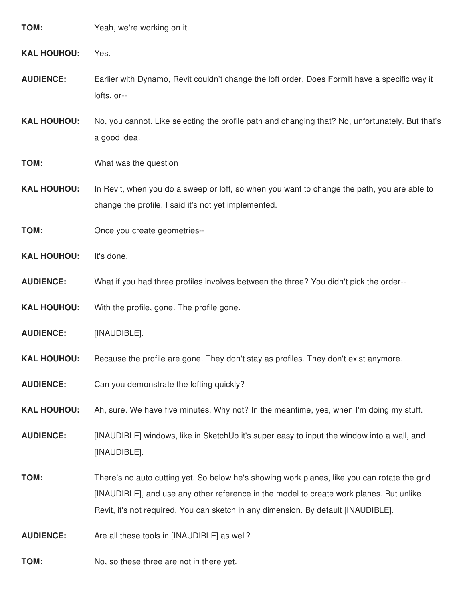| TOM: | Yeah, we're working on it. |
|------|----------------------------|
|      |                            |

**KAL HOUHOU:** Yes.

- **AUDIENCE:** Earlier with Dynamo, Revit couldn't change the loft order. Does FormIt have a specific way it lofts, or--
- **KAL HOUHOU:** No, you cannot. Like selecting the profile path and changing that? No, unfortunately. But that's a good idea.

## **TOM:** What was the question

**KAL HOUHOU:** In Revit, when you do a sweep or loft, so when you want to change the path, you are able to change the profile. I said it's not yet implemented.

**TOM:** Once you create geometries--

**KAL HOUHOU:** It's done.

- **AUDIENCE:** What if you had three profiles involves between the three? You didn't pick the order--
- **KAL HOUHOU:** With the profile, gone. The profile gone.
- **AUDIENCE:** [INAUDIBLE].
- **KAL HOUHOU:** Because the profile are gone. They don't stay as profiles. They don't exist anymore.
- **AUDIENCE:** Can you demonstrate the lofting quickly?
- **KAL HOUHOU:** Ah, sure. We have five minutes. Why not? In the meantime, yes, when I'm doing my stuff.
- **AUDIENCE:** [INAUDIBLE] windows, like in SketchUp it's super easy to input the window into a wall, and [INAUDIBLE].
- **TOM:** There's no auto cutting yet. So below he's showing work planes, like you can rotate the grid [INAUDIBLE], and use any other reference in the model to create work planes. But unlike Revit, it's not required. You can sketch in any dimension. By default [INAUDIBLE].

**AUDIENCE:** Are all these tools in [INAUDIBLE] as well?

**TOM:** No, so these three are not in there yet.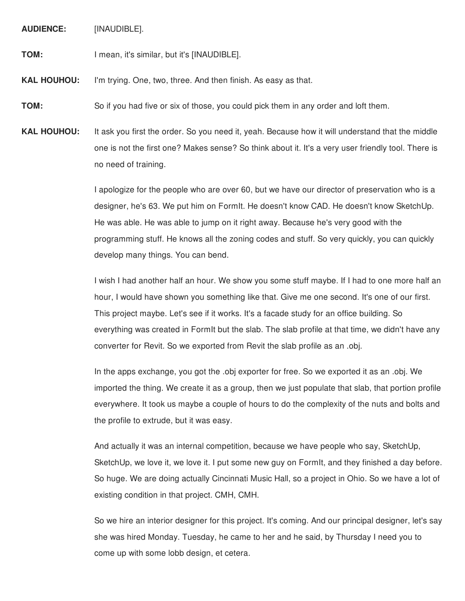**AUDIENCE:** [INAUDIBLE].

**TOM:** I mean, it's similar, but it's [INAUDIBLE].

**KAL HOUHOU:** I'm trying. One, two, three. And then finish. As easy as that.

**TOM:** So if you had five or six of those, you could pick them in any order and loft them.

**KAL HOUHOU:** It ask you first the order. So you need it, yeah. Because how it will understand that the middle one is not the first one? Makes sense? So think about it. It's a very user friendly tool. There is no need of training.

> I apologize for the people who are over 60, but we have our director of preservation who is a designer, he's 63. We put him on FormIt. He doesn't know CAD. He doesn't know SketchUp. He was able. He was able to jump on it right away. Because he's very good with the programming stuff. He knows all the zoning codes and stuff. So very quickly, you can quickly develop many things. You can bend.

I wish I had another half an hour. We show you some stuff maybe. If I had to one more half an hour, I would have shown you something like that. Give me one second. It's one of our first. This project maybe. Let's see if it works. It's a facade study for an office building. So everything was created in FormIt but the slab. The slab profile at that time, we didn't have any converter for Revit. So we exported from Revit the slab profile as an .obj.

In the apps exchange, you got the .obj exporter for free. So we exported it as an .obj. We imported the thing. We create it as a group, then we just populate that slab, that portion profile everywhere. It took us maybe a couple of hours to do the complexity of the nuts and bolts and the profile to extrude, but it was easy.

And actually it was an internal competition, because we have people who say, SketchUp, SketchUp, we love it, we love it. I put some new guy on FormIt, and they finished a day before. So huge. We are doing actually Cincinnati Music Hall, so a project in Ohio. So we have a lot of existing condition in that project. CMH, CMH.

So we hire an interior designer for this project. It's coming. And our principal designer, let's say she was hired Monday. Tuesday, he came to her and he said, by Thursday I need you to come up with some lobb design, et cetera.